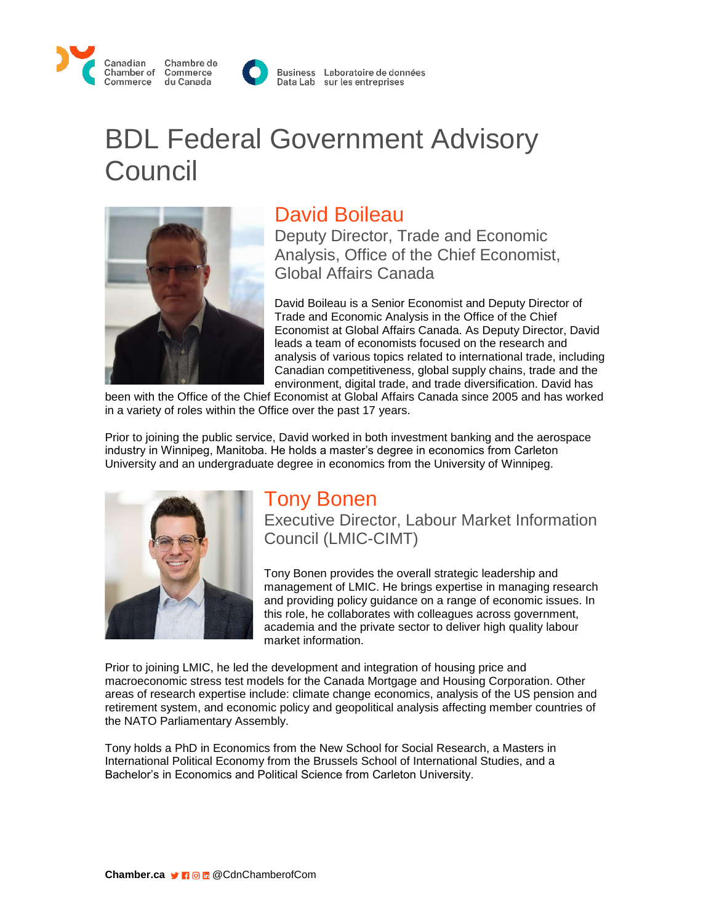



Business Laboratoire de données Data Lab sur les entreprises

# BDL Federal Government Advisory **Council**



### David Boileau

Deputy Director, Trade and Economic Analysis, Office of the Chief Economist, Global Affairs Canada

David Boileau is a Senior Economist and Deputy Director of Trade and Economic Analysis in the Office of the Chief Economist at Global Affairs Canada. As Deputy Director, David leads a team of economists focused on the research and analysis of various topics related to international trade, including Canadian competitiveness, global supply chains, trade and the environment, digital trade, and trade diversification. David has

been with the Office of the Chief Economist at Global Affairs Canada since 2005 and has worked in a variety of roles within the Office over the past 17 years.

Prior to joining the public service, David worked in both investment banking and the aerospace industry in Winnipeg, Manitoba. He holds a master's degree in economics from Carleton University and an undergraduate degree in economics from the University of Winnipeg.



#### Tony Bonen

Executive Director, Labour Market Information Council (LMIC-CIMT)

Tony Bonen provides the overall strategic leadership and management of LMIC. He brings expertise in managing research and providing policy guidance on a range of economic issues. In this role, he collaborates with colleagues across government, academia and the private sector to deliver high quality labour market information.

Prior to joining LMIC, he led the development and integration of housing price and macroeconomic stress test models for the Canada Mortgage and Housing Corporation. Other areas of research expertise include: climate change economics, analysis of the US pension and retirement system, and economic policy and geopolitical analysis affecting member countries of the NATO Parliamentary Assembly.

Tony holds a PhD in Economics from the New School for Social Research, a Masters in International Political Economy from the Brussels School of International Studies, and a Bachelor's in Economics and Political Science from Carleton University.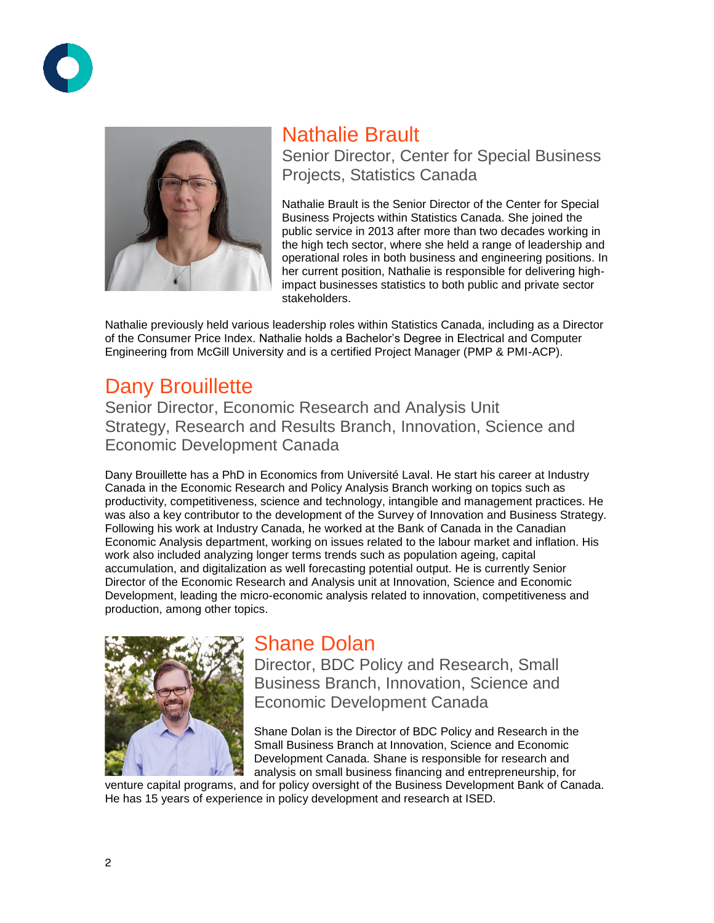



# Nathalie Brault

Senior Director, Center for Special Business Projects, Statistics Canada

Nathalie Brault is the Senior Director of the Center for Special Business Projects within Statistics Canada. She joined the public service in 2013 after more than two decades working in the high tech sector, where she held a range of leadership and operational roles in both business and engineering positions. In her current position, Nathalie is responsible for delivering highimpact businesses statistics to both public and private sector stakeholders.

Nathalie previously held various leadership roles within Statistics Canada, including as a Director of the Consumer Price Index. Nathalie holds a Bachelor's Degree in Electrical and Computer Engineering from McGill University and is a certified Project Manager (PMP & PMI-ACP).

## Dany Brouillette

Senior Director, Economic Research and Analysis Unit Strategy, Research and Results Branch, Innovation, Science and Economic Development Canada

Dany Brouillette has a PhD in Economics from Université Laval. He start his career at Industry Canada in the Economic Research and Policy Analysis Branch working on topics such as productivity, competitiveness, science and technology, intangible and management practices. He was also a key contributor to the development of the Survey of Innovation and Business Strategy. Following his work at Industry Canada, he worked at the Bank of Canada in the Canadian Economic Analysis department, working on issues related to the labour market and inflation. His work also included analyzing longer terms trends such as population ageing, capital accumulation, and digitalization as well forecasting potential output. He is currently Senior Director of the Economic Research and Analysis unit at Innovation, Science and Economic Development, leading the micro-economic analysis related to innovation, competitiveness and production, among other topics.



#### Shane Dolan

Director, BDC Policy and Research, Small Business Branch, Innovation, Science and Economic Development Canada

Shane Dolan is the Director of BDC Policy and Research in the Small Business Branch at Innovation, Science and Economic Development Canada. Shane is responsible for research and analysis on small business financing and entrepreneurship, for

venture capital programs, and for policy oversight of the Business Development Bank of Canada. He has 15 years of experience in policy development and research at ISED.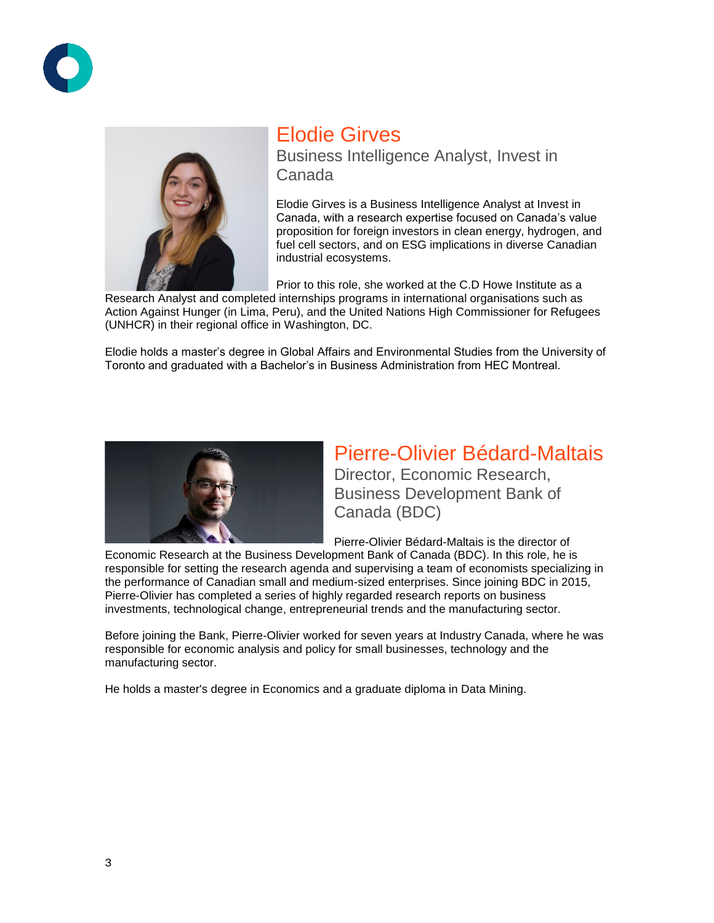



### Elodie Girves

Business Intelligence Analyst, Invest in Canada

Elodie Girves is a Business Intelligence Analyst at Invest in Canada, with a research expertise focused on Canada's value proposition for foreign investors in clean energy, hydrogen, and fuel cell sectors, and on ESG implications in diverse Canadian industrial ecosystems.

Prior to this role, she worked at the C.D Howe Institute as a

Research Analyst and completed internships programs in international organisations such as Action Against Hunger (in Lima, Peru), and the United Nations High Commissioner for Refugees (UNHCR) in their regional office in Washington, DC.

Elodie holds a master's degree in Global Affairs and Environmental Studies from the University of Toronto and graduated with a Bachelor's in Business Administration from HEC Montreal.



### Pierre-Olivier Bédard-Maltais

Director, Economic Research, Business Development Bank of Canada (BDC)

Pierre-Olivier Bédard-Maltais is the director of

Economic Research at the Business Development Bank of Canada (BDC). In this role, he is responsible for setting the research agenda and supervising a team of economists specializing in the performance of Canadian small and medium-sized enterprises. Since joining BDC in 2015, Pierre-Olivier has completed a series of highly regarded research reports on business investments, technological change, entrepreneurial trends and the manufacturing sector.

Before joining the Bank, Pierre-Olivier worked for seven years at Industry Canada, where he was responsible for economic analysis and policy for small businesses, technology and the manufacturing sector.

He holds a master's degree in Economics and a graduate diploma in Data Mining.